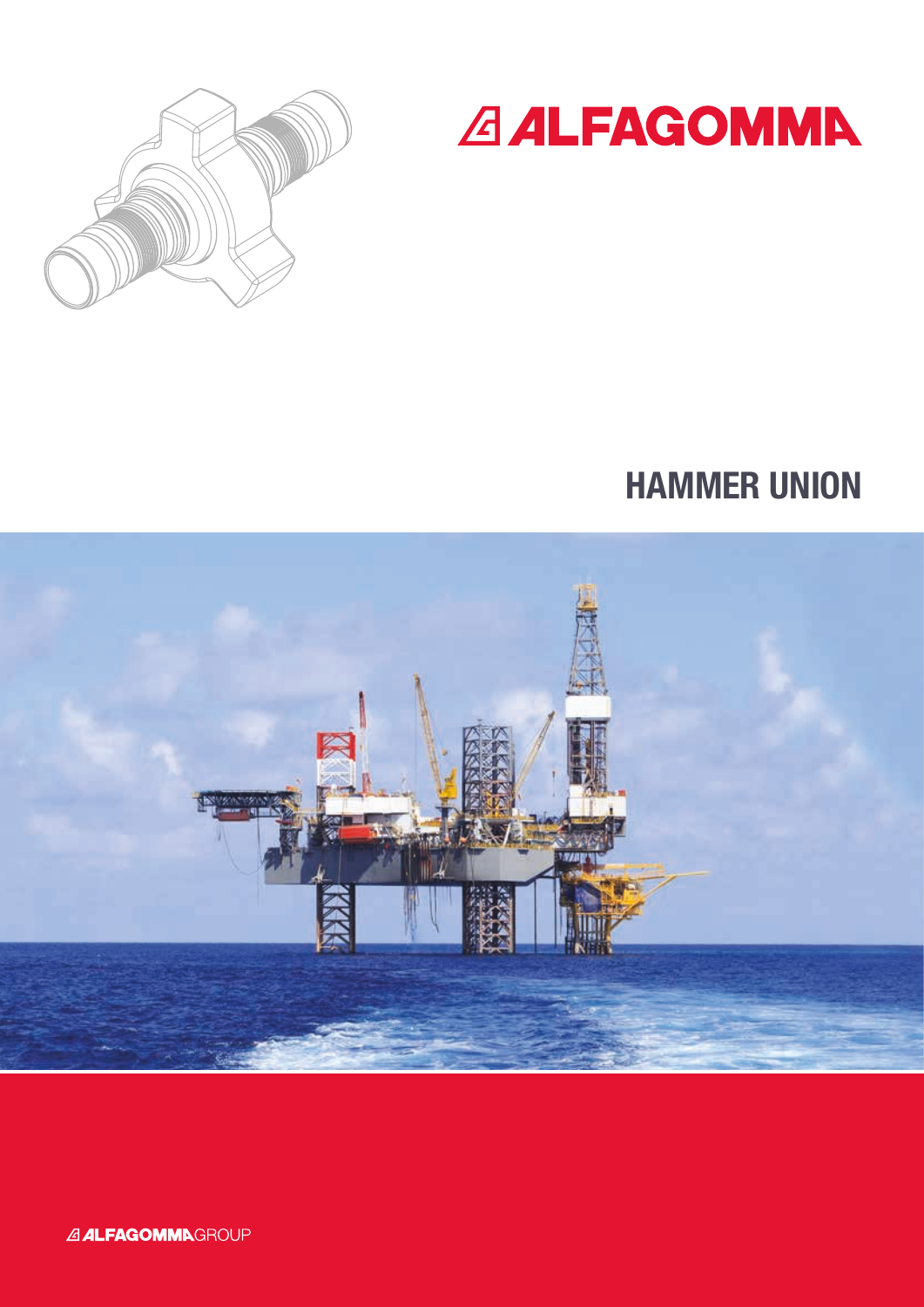



# HAMMER UNION

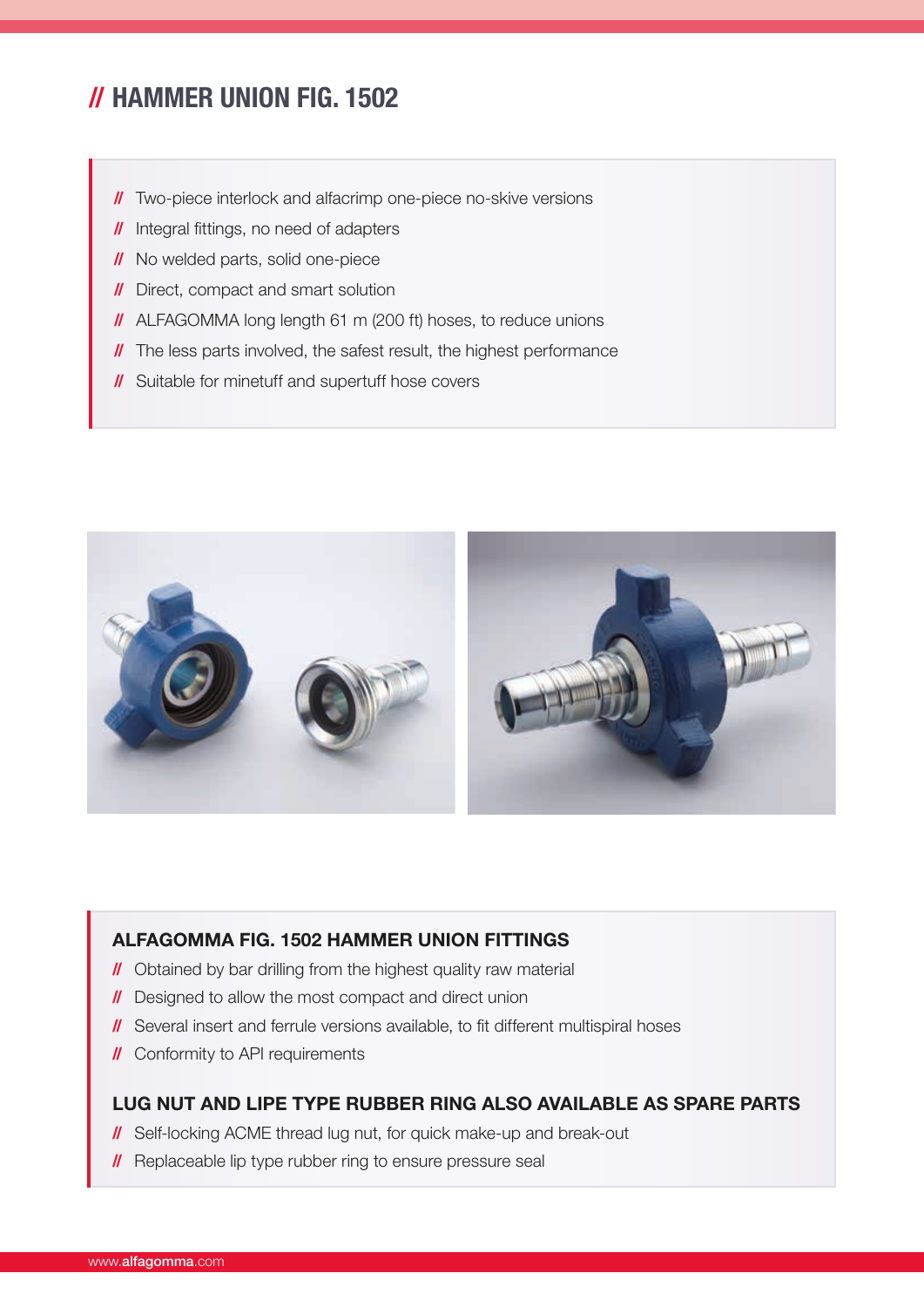# // HAMMER UNION FIG. 1502

- **//** Two-piece interlock and alfacrimp one-piece no-skive versions
- // Integral fittings, no need of adapters
- **//** No welded parts, solid one-piece
- **//** Direct, compact and smart solution
- // ALFAGOMMA long length 61 m (200 ft) hoses, to reduce unions
- **//** The less parts involved, the safest result, the highest performance
- **//** Suitable for minetuff and supertuff hose covers



#### ALFAGOMMA FIG. 1502 HAMMER UNION FITTINGS

- **//** Obtained by bar drilling from the highest quality raw material
- // Designed to allow the most compact and direct union
- // Several insert and ferrule versions available, to fit different multispiral hoses
- **//** Conformity to API requirements

#### LUG NUT AND LIPE TYPE RUBBER RING ALSO AVAILABLE AS SPARE PARTS

- **//** Self-locking ACME thread lug nut, for quick make-up and break-out
- **//** Replaceable lip type rubber ring to ensure pressure seal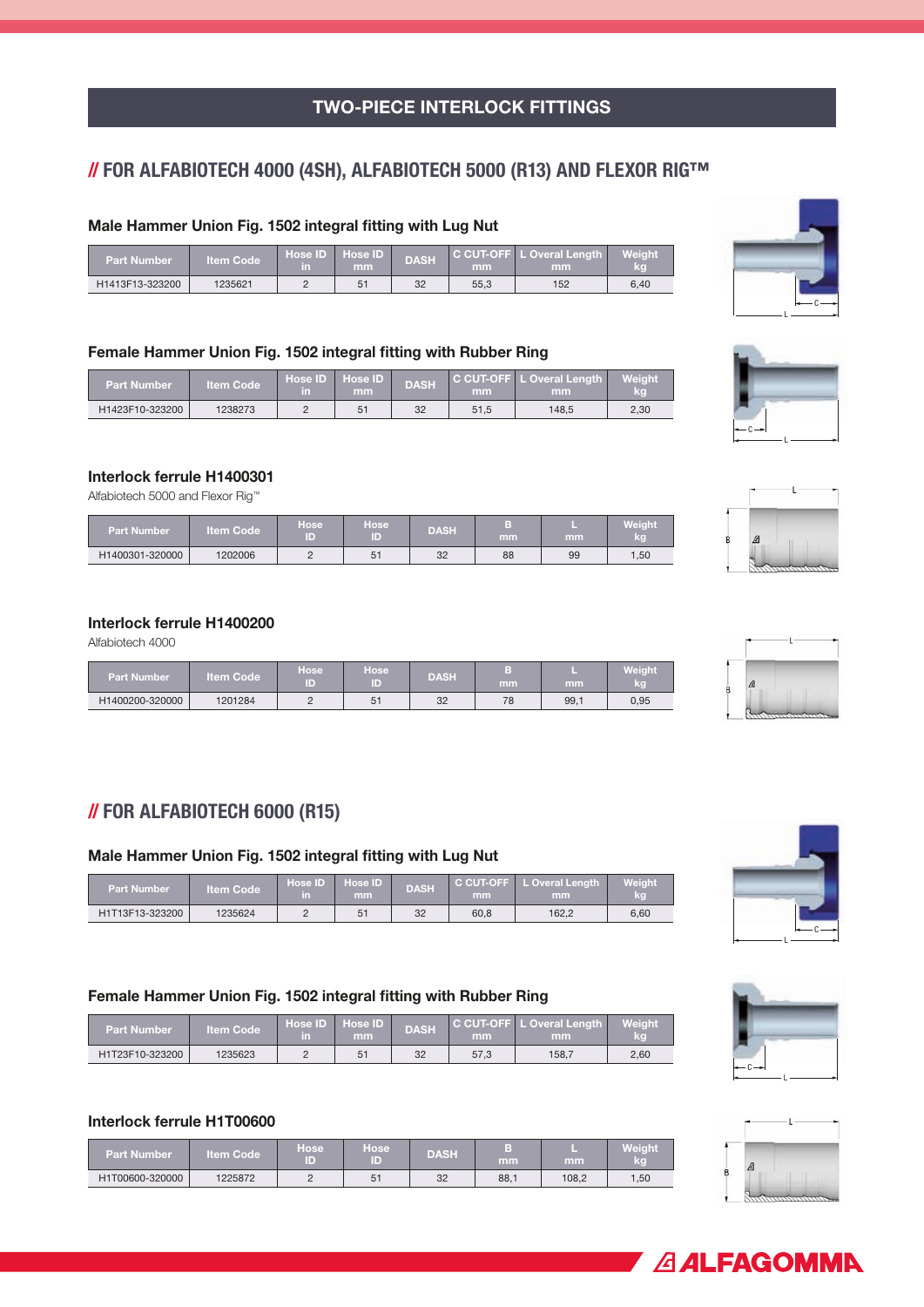# TWO-PIECE INTERLOCK FITTINGS

# // FOR ALFABIOTECH 4000 (4SH), ALFABIOTECH 5000 (R13) AND FLEXOR RIG™

#### Male Hammer Union Fig. 1502 integral fitting with Lug Nut

| <b>Part Number</b> | <b>Iltem Code</b> | īΠ | Hose ID Hose ID<br>mm | <b>DASH</b> | mm   | C CUT-OFF L Overal Length<br>mm | <b>Weight</b><br>kg |
|--------------------|-------------------|----|-----------------------|-------------|------|---------------------------------|---------------------|
| H1413F13-323200    | 1235621           |    | 51                    | 32          | 55.3 | 152                             | 6.40                |

#### Female Hammer Union Fig. 1502 integral fitting with Rubber Ring

| <b>Part Number</b> | lltem Code <sup>'</sup> | ∣ Hose ID ∣ Hose ID'<br>٦n | mm | <b>DASH</b> | mm   | (C CUT-OFF L Overal Length L<br>mm | Weiaht<br>kg |
|--------------------|-------------------------|----------------------------|----|-------------|------|------------------------------------|--------------|
| H1423F10-323200    | 1238273                 |                            | 51 | 32          | 51,5 | 148.5                              | 2.30         |

#### Interlock ferrule H1400301

Alfabiotech 5000 and Flexor Rig™

| Part Number     | <b>Item Code</b> | Hose<br>ID | <b>Hose</b><br>т | <b>DASH</b> | mm | mm | Weight<br>kg |
|-----------------|------------------|------------|------------------|-------------|----|----|--------------|
| H1400301-320000 | 1202006          | <u>.</u>   | 51               | 32          | 88 | 99 | 1.50         |

#### Interlock ferrule H1400200

Alfabiotech 4000

| <b>Part Number</b> | ltem Code | <b>Hose</b><br>ID. | <b>Hose</b><br>ID | <b>DASH</b> | mm | mm   | <b>Weight</b><br>kg |
|--------------------|-----------|--------------------|-------------------|-------------|----|------|---------------------|
| H1400200-320000    | 1201284   |                    | 51                | 32          | 78 | 99,1 | 0,95                |

# // FOR ALFABIOTECH 6000 (R15)

#### Male Hammer Union Fig. 1502 integral fitting with Lug Nut

| Part Number     | <b>Iltem Code</b> | πħ | Hose ID Hose ID<br>mm |    | mm   | <b>C CUT-OFF</b> L Overal Length<br>mm | Weight <sup>1</sup><br>kg |  |
|-----------------|-------------------|----|-----------------------|----|------|----------------------------------------|---------------------------|--|
| H1T13F13-323200 | 1235624           |    | וס                    | 32 | 60,8 | 162.2                                  | 6.60                      |  |

#### Female Hammer Union Fig. 1502 integral fitting with Rubber Ring

| <b>Part Number</b> | <b>Item Code</b> | Hose <b>ID</b> Hose <b>ID</b><br>in. | mm | <b>DASH</b> | mm   | ′C CUT-OFF LL Overal Length ⊥<br>mm | Weight |
|--------------------|------------------|--------------------------------------|----|-------------|------|-------------------------------------|--------|
| H1T23F10-323200    | 1235623          |                                      |    | 32          | 57.3 | 158.7                               | 2.60   |

#### Interlock ferrule H1T00600

| <b>Part Number</b> | <b>Item Code</b> | <b>Hose</b><br>ID) | Hose,<br>D | <b>DASH</b> | в<br>mm | mm    | Weight<br>kg |
|--------------------|------------------|--------------------|------------|-------------|---------|-------|--------------|
| H1T00600-320000    | 1225872          | -                  | ◡          | 32          | 88.1    | 108.2 | 1,50         |